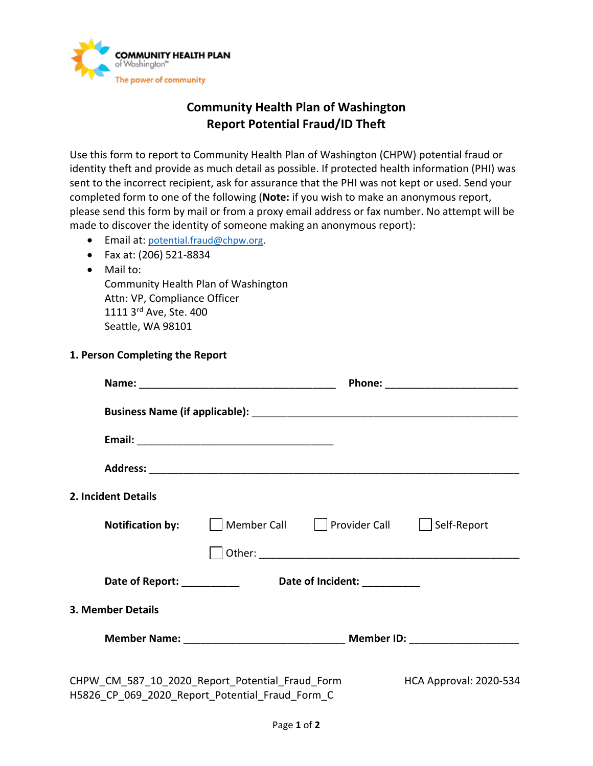

## **Community Health Plan of Washington Report Potential Fraud/ID Theft**

Use this form to report to Community Health Plan of Washington (CHPW) potential fraud or identity theft and provide as much detail as possible. If protected health information (PHI) was sent to the incorrect recipient, ask for assurance that the PHI was not kept or used. Send your completed form to one of the following (**Note:** if you wish to make an anonymous report, please send this form by mail or from a proxy email address or fax number. No attempt will be made to discover the identity of someone making an anonymous report):

- Email at: [potential.fraud@chpw.org.](mailto:potential.fraud@chpw.org)
- Fax at: (206) 521-8834
- Mail to:

Community Health Plan of Washington Attn: VP, Compliance Officer 1111 3rd Ave, Ste. 400 Seattle, WA 98101

**1. Person Completing the Report**

| 2. Incident Details                                                                                |                                                             |  |                                                                                  |
|----------------------------------------------------------------------------------------------------|-------------------------------------------------------------|--|----------------------------------------------------------------------------------|
|                                                                                                    | <b>Notification by:</b>     Member Call       Provider Call |  | Self-Report                                                                      |
|                                                                                                    |                                                             |  |                                                                                  |
|                                                                                                    | Date of Report: Date of Incident:                           |  |                                                                                  |
| <b>3. Member Details</b>                                                                           |                                                             |  |                                                                                  |
|                                                                                                    |                                                             |  | Member Name: __________________________________ Member ID: _____________________ |
| CHPW_CM_587_10_2020_Report_Potential_Fraud_Form<br>H5826 CP 069 2020 Report Potential Fraud Form C |                                                             |  | HCA Approval: 2020-534                                                           |